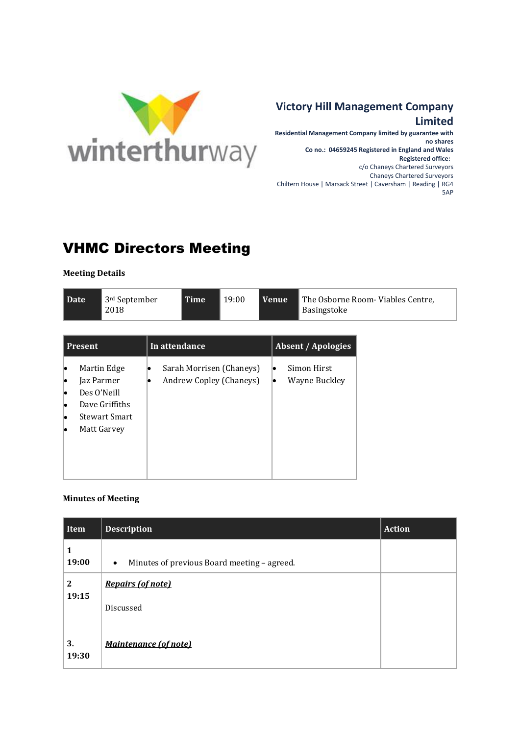

## **Victory Hill Management Company**

## **Limited**

**Residential Management Company limited by guarantee with no shares Co no.: 04659245 Registered in England and Wales Registered office:**  c/o Chaneys Chartered Surveyors Chaneys Chartered Surveyors Chiltern House | Marsack Street | Caversham | Reading | RG4 5AP

## VHMC Directors Meeting

**Meeting Details**

|  | l Date | $\parallel$ 3rd September<br>2018 | <b>Time</b> | 19:00 | l Venue | The Osborne Room-Viables Centre,<br>Basingstoke |
|--|--------|-----------------------------------|-------------|-------|---------|-------------------------------------------------|
|--|--------|-----------------------------------|-------------|-------|---------|-------------------------------------------------|

| <b>Present</b>                                                                             | In attendance                                       | <b>Absent / Apologies</b>           |  |
|--------------------------------------------------------------------------------------------|-----------------------------------------------------|-------------------------------------|--|
| Martin Edge<br>Jaz Parmer<br>Des O'Neill<br>Dave Griffiths<br>Stewart Smart<br>Matt Garvey | Sarah Morrisen (Chaneys)<br>Andrew Copley (Chaneys) | Simon Hirst<br>lo.<br>Wayne Buckley |  |

## **Minutes of Meeting**

| Item             | <b>Description</b>                                       | <b>Action</b> |
|------------------|----------------------------------------------------------|---------------|
| 1<br>19:00       | Minutes of previous Board meeting - agreed.<br>$\bullet$ |               |
| $\boldsymbol{2}$ | <b>Repairs (of note)</b>                                 |               |
| 19:15            | Discussed                                                |               |
| 3.<br>19:30      | <b>Maintenance (of note)</b>                             |               |